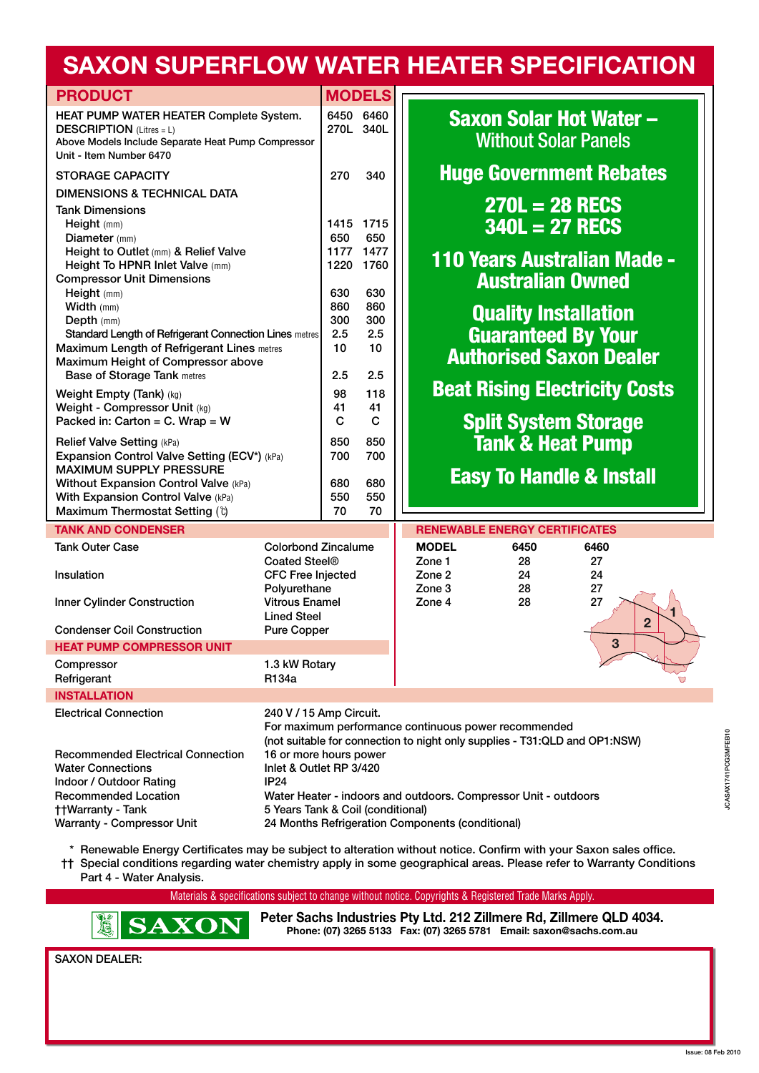## **SAXON SUPERFLOW WATER HEATER SPECIFICATION**

| <b>PRODUCT</b>                                                                                                                                                                                                                |                                                                                                                                                                                                                                                        |                             | <b>MODELS</b>               |                                                                                                                                                                                                                                                                                                 |
|-------------------------------------------------------------------------------------------------------------------------------------------------------------------------------------------------------------------------------|--------------------------------------------------------------------------------------------------------------------------------------------------------------------------------------------------------------------------------------------------------|-----------------------------|-----------------------------|-------------------------------------------------------------------------------------------------------------------------------------------------------------------------------------------------------------------------------------------------------------------------------------------------|
| HEAT PUMP WATER HEATER Complete System.<br><b>DESCRIPTION</b> (Litres = L)<br>Above Models Include Separate Heat Pump Compressor<br>Unit - Item Number 6470                                                                   |                                                                                                                                                                                                                                                        |                             | 6450 6460<br>270L 340L      | <b>Saxon Solar Hot Water -</b><br><b>Without Solar Panels</b>                                                                                                                                                                                                                                   |
| <b>STORAGE CAPACITY</b>                                                                                                                                                                                                       |                                                                                                                                                                                                                                                        | 270                         | 340                         | <b>Huge Government Rebates</b>                                                                                                                                                                                                                                                                  |
| <b>DIMENSIONS &amp; TECHNICAL DATA</b>                                                                                                                                                                                        |                                                                                                                                                                                                                                                        |                             |                             |                                                                                                                                                                                                                                                                                                 |
| <b>Tank Dimensions</b><br>Height (mm)<br>Diameter (mm)<br>Height to Outlet (mm) & Relief Valve<br>Height To HPNR Inlet Valve (mm)                                                                                             |                                                                                                                                                                                                                                                        | 1415<br>650<br>1177<br>1220 | 1715<br>650<br>1477<br>1760 | $270L = 28 RECS$<br>$340L = 27$ RECS<br>110 Years Australian Made -                                                                                                                                                                                                                             |
| <b>Compressor Unit Dimensions</b><br>Height (mm)<br>Width (mm)<br>Depth (mm)                                                                                                                                                  |                                                                                                                                                                                                                                                        | 630<br>860<br>300           | 630<br>860<br>300           | <b>Australian Owned</b><br><b>Quality Installation</b>                                                                                                                                                                                                                                          |
| <b>Standard Length of Refrigerant Connection Lines metres</b><br><b>Maximum Length of Refrigerant Lines metres</b><br>Maximum Height of Compressor above<br><b>Base of Storage Tank metres</b>                                |                                                                                                                                                                                                                                                        | 2.5<br>10<br>2.5            | 2.5<br>10<br>2.5            | <b>Guaranteed By Your</b><br><b>Authorised Saxon Dealer</b>                                                                                                                                                                                                                                     |
| Weight Empty (Tank) (kg)                                                                                                                                                                                                      |                                                                                                                                                                                                                                                        | 98                          | 118                         | <b>Beat Rising Electricity Costs</b>                                                                                                                                                                                                                                                            |
| Weight - Compressor Unit (kg)<br>Packed in: Carton = $C.$ Wrap = W                                                                                                                                                            |                                                                                                                                                                                                                                                        | 41<br>C                     | 41<br>$\mathbf C$           | <b>Split System Storage</b>                                                                                                                                                                                                                                                                     |
| Relief Valve Setting (kPa)<br>Expansion Control Valve Setting (ECV*) (kPa)<br><b>MAXIMUM SUPPLY PRESSURE</b><br>Without Expansion Control Valve (kPa)<br>With Expansion Control Valve (kPa)<br>Maximum Thermostat Setting (t) |                                                                                                                                                                                                                                                        | 850<br>700                  | 850<br>700                  | <b>Tank &amp; Heat Pump</b><br><b>Easy To Handle &amp; Install</b>                                                                                                                                                                                                                              |
|                                                                                                                                                                                                                               |                                                                                                                                                                                                                                                        | 680<br>550<br>70            | 680<br>550<br>70            |                                                                                                                                                                                                                                                                                                 |
| <b>TANK AND CONDENSER</b>                                                                                                                                                                                                     |                                                                                                                                                                                                                                                        |                             |                             | <b>RENEWABLE ENERGY CERTIFICATES</b>                                                                                                                                                                                                                                                            |
| <b>Tank Outer Case</b>                                                                                                                                                                                                        | <b>Colorbond Zincalume</b>                                                                                                                                                                                                                             |                             |                             | <b>MODEL</b><br>6450<br>6460                                                                                                                                                                                                                                                                    |
| Insulation<br><b>Inner Cylinder Construction</b>                                                                                                                                                                              | Coated Steel <sup>®</sup><br><b>CFC Free Injected</b><br>Polyurethane<br><b>Vitrous Enamel</b>                                                                                                                                                         |                             |                             | Zone 1<br>28<br>27<br>Zone 2<br>24<br>24<br>Zone 3<br>28<br>27<br>Zone 4<br>28<br>27                                                                                                                                                                                                            |
| <b>Condenser Coil Construction</b>                                                                                                                                                                                            | <b>Lined Steel</b><br><b>Pure Copper</b>                                                                                                                                                                                                               |                             |                             | $\overline{2}$                                                                                                                                                                                                                                                                                  |
| <b>HEAT PUMP COMPRESSOR UNIT</b>                                                                                                                                                                                              |                                                                                                                                                                                                                                                        |                             |                             | 3                                                                                                                                                                                                                                                                                               |
| Compressor<br>Refrigerant                                                                                                                                                                                                     | 1.3 kW Rotary<br>R134a                                                                                                                                                                                                                                 |                             |                             |                                                                                                                                                                                                                                                                                                 |
| <b>INSTALLATION</b>                                                                                                                                                                                                           |                                                                                                                                                                                                                                                        |                             |                             |                                                                                                                                                                                                                                                                                                 |
| <b>Electrical Connection</b>                                                                                                                                                                                                  | 240 V / 15 Amp Circuit.<br>For maximum performance continuous power recommended                                                                                                                                                                        |                             |                             |                                                                                                                                                                                                                                                                                                 |
| <b>Recommended Electrical Connection</b><br><b>Water Connections</b><br>Indoor / Outdoor Rating<br><b>Recommended Location</b><br><b>††Warranty - Tank</b>                                                                    | (not suitable for connection to night only supplies - T31:QLD and OP1:NSW)<br>16 or more hours power<br>Inlet & Outlet RP 3/420<br><b>IP24</b><br>Water Heater - indoors and outdoors. Compressor Unit - outdoors<br>5 Years Tank & Coil (conditional) |                             |                             |                                                                                                                                                                                                                                                                                                 |
| Warranty - Compressor Unit<br>Part 4 - Water Analysis.                                                                                                                                                                        |                                                                                                                                                                                                                                                        |                             |                             | 24 Months Refrigeration Components (conditional)<br>* Renewable Energy Certificates may be subject to alteration without notice. Confirm with your Saxon sales office.<br>†† Special conditions regarding water chemistry apply in some geographical areas. Please refer to Warranty Conditions |
|                                                                                                                                                                                                                               |                                                                                                                                                                                                                                                        |                             |                             | Materials & specifications subject to change without notice. Copyrights & Registered Trade Marks Apply.                                                                                                                                                                                         |
| <b>SAXON</b>                                                                                                                                                                                                                  |                                                                                                                                                                                                                                                        |                             |                             | Peter Sachs Industries Pty Ltd. 212 Zillmere Rd, Zillmere QLD 4034.<br>Phone: (07) 3265 5133  Fax: (07) 3265 5781  Email: saxon@sachs.com.au                                                                                                                                                    |
| <b>SAXON DEALER:</b>                                                                                                                                                                                                          |                                                                                                                                                                                                                                                        |                             |                             |                                                                                                                                                                                                                                                                                                 |
|                                                                                                                                                                                                                               |                                                                                                                                                                                                                                                        |                             |                             |                                                                                                                                                                                                                                                                                                 |
|                                                                                                                                                                                                                               |                                                                                                                                                                                                                                                        |                             |                             | Issue: 08 Feb 2010                                                                                                                                                                                                                                                                              |